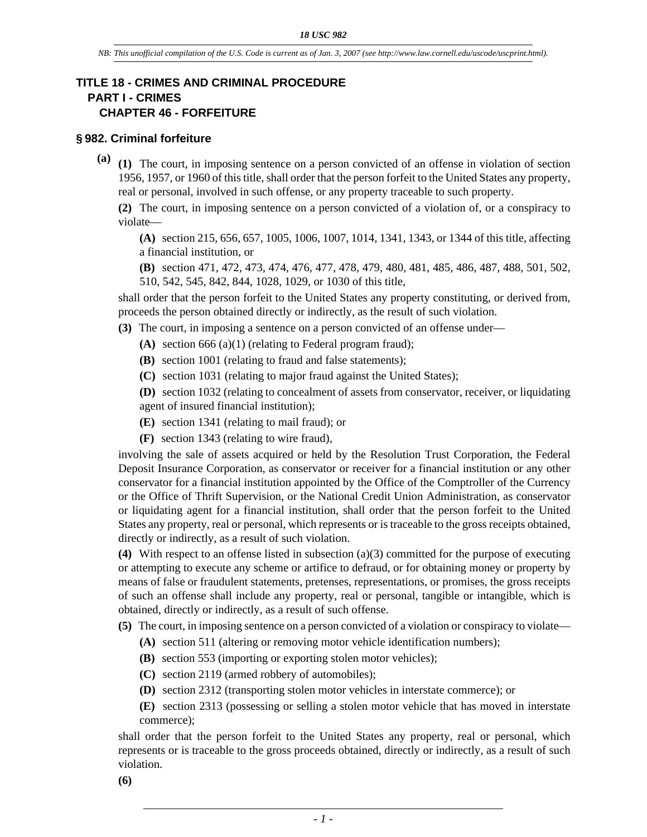# **TITLE 18 - CRIMES AND CRIMINAL PROCEDURE PART I - CRIMES CHAPTER 46 - FORFEITURE**

#### **§ 982. Criminal forfeiture**

**(a) (1)** The court, in imposing sentence on a person convicted of an offense in violation of section 1956, 1957, or 1960 of this title, shall order that the person forfeit to the United States any property, real or personal, involved in such offense, or any property traceable to such property.

**(2)** The court, in imposing sentence on a person convicted of a violation of, or a conspiracy to violate—

**(A)** section 215, 656, 657, 1005, 1006, 1007, 1014, 1341, 1343, or 1344 of this title, affecting a financial institution, or

**(B)** section 471, 472, 473, 474, 476, 477, 478, 479, 480, 481, 485, 486, 487, 488, 501, 502, 510, 542, 545, 842, 844, 1028, 1029, or 1030 of this title,

shall order that the person forfeit to the United States any property constituting, or derived from, proceeds the person obtained directly or indirectly, as the result of such violation.

**(3)** The court, in imposing a sentence on a person convicted of an offense under—

- **(A)** section 666 (a)(1) (relating to Federal program fraud);
- **(B)** section 1001 (relating to fraud and false statements);
- **(C)** section 1031 (relating to major fraud against the United States);

**(D)** section 1032 (relating to concealment of assets from conservator, receiver, or liquidating agent of insured financial institution);

- **(E)** section 1341 (relating to mail fraud); or
- **(F)** section 1343 (relating to wire fraud),

involving the sale of assets acquired or held by the Resolution Trust Corporation, the Federal Deposit Insurance Corporation, as conservator or receiver for a financial institution or any other conservator for a financial institution appointed by the Office of the Comptroller of the Currency or the Office of Thrift Supervision, or the National Credit Union Administration, as conservator or liquidating agent for a financial institution, shall order that the person forfeit to the United States any property, real or personal, which represents or is traceable to the gross receipts obtained, directly or indirectly, as a result of such violation.

**(4)** With respect to an offense listed in subsection (a)(3) committed for the purpose of executing or attempting to execute any scheme or artifice to defraud, or for obtaining money or property by means of false or fraudulent statements, pretenses, representations, or promises, the gross receipts of such an offense shall include any property, real or personal, tangible or intangible, which is obtained, directly or indirectly, as a result of such offense.

**(5)** The court, in imposing sentence on a person convicted of a violation or conspiracy to violate—

- **(A)** section 511 (altering or removing motor vehicle identification numbers);
- **(B)** section 553 (importing or exporting stolen motor vehicles);
- **(C)** section 2119 (armed robbery of automobiles);
- **(D)** section 2312 (transporting stolen motor vehicles in interstate commerce); or

**(E)** section 2313 (possessing or selling a stolen motor vehicle that has moved in interstate commerce);

shall order that the person forfeit to the United States any property, real or personal, which represents or is traceable to the gross proceeds obtained, directly or indirectly, as a result of such violation.

**(6)**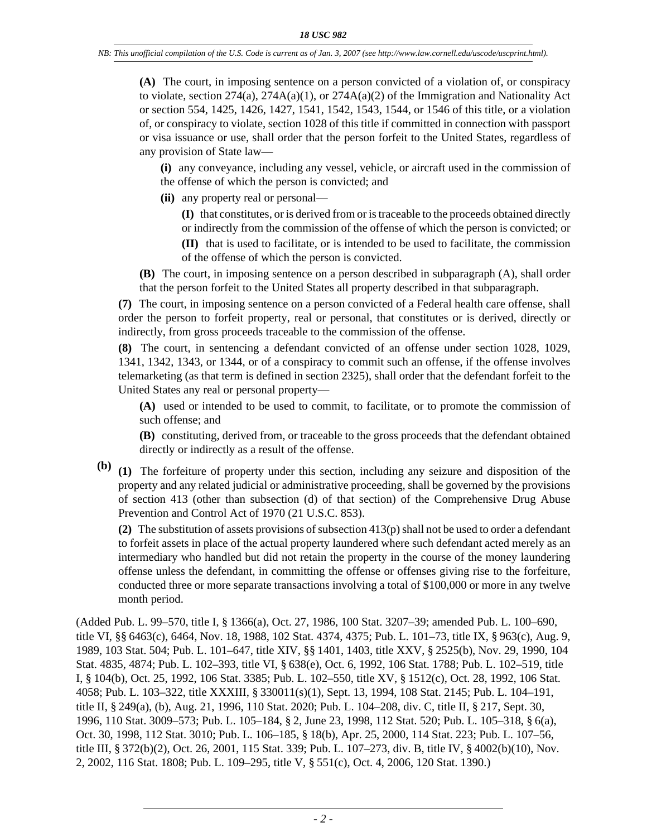**(A)** The court, in imposing sentence on a person convicted of a violation of, or conspiracy to violate, section  $274(a)$ ,  $274A(a)(1)$ , or  $274A(a)(2)$  of the Immigration and Nationality Act or section 554, 1425, 1426, 1427, 1541, 1542, 1543, 1544, or 1546 of this title, or a violation of, or conspiracy to violate, section 1028 of this title if committed in connection with passport or visa issuance or use, shall order that the person forfeit to the United States, regardless of any provision of State law—

**(i)** any conveyance, including any vessel, vehicle, or aircraft used in the commission of the offense of which the person is convicted; and

**(ii)** any property real or personal—

**(I)** that constitutes, or is derived from or is traceable to the proceeds obtained directly or indirectly from the commission of the offense of which the person is convicted; or

**(II)** that is used to facilitate, or is intended to be used to facilitate, the commission of the offense of which the person is convicted.

**(B)** The court, in imposing sentence on a person described in subparagraph (A), shall order that the person forfeit to the United States all property described in that subparagraph.

**(7)** The court, in imposing sentence on a person convicted of a Federal health care offense, shall order the person to forfeit property, real or personal, that constitutes or is derived, directly or indirectly, from gross proceeds traceable to the commission of the offense.

**(8)** The court, in sentencing a defendant convicted of an offense under section 1028, 1029, 1341, 1342, 1343, or 1344, or of a conspiracy to commit such an offense, if the offense involves telemarketing (as that term is defined in section 2325), shall order that the defendant forfeit to the United States any real or personal property—

**(A)** used or intended to be used to commit, to facilitate, or to promote the commission of such offense; and

**(B)** constituting, derived from, or traceable to the gross proceeds that the defendant obtained directly or indirectly as a result of the offense.

**(b) (1)** The forfeiture of property under this section, including any seizure and disposition of the property and any related judicial or administrative proceeding, shall be governed by the provisions of section 413 (other than subsection (d) of that section) of the Comprehensive Drug Abuse Prevention and Control Act of 1970 (21 U.S.C. 853).

**(2)** The substitution of assets provisions of subsection 413(p) shall not be used to order a defendant to forfeit assets in place of the actual property laundered where such defendant acted merely as an intermediary who handled but did not retain the property in the course of the money laundering offense unless the defendant, in committing the offense or offenses giving rise to the forfeiture, conducted three or more separate transactions involving a total of \$100,000 or more in any twelve month period.

(Added Pub. L. 99–570, title I, § 1366(a), Oct. 27, 1986, 100 Stat. 3207–39; amended Pub. L. 100–690, title VI, §§ 6463(c), 6464, Nov. 18, 1988, 102 Stat. 4374, 4375; Pub. L. 101–73, title IX, § 963(c), Aug. 9, 1989, 103 Stat. 504; Pub. L. 101–647, title XIV, §§ 1401, 1403, title XXV, § 2525(b), Nov. 29, 1990, 104 Stat. 4835, 4874; Pub. L. 102–393, title VI, § 638(e), Oct. 6, 1992, 106 Stat. 1788; Pub. L. 102–519, title I, § 104(b), Oct. 25, 1992, 106 Stat. 3385; Pub. L. 102–550, title XV, § 1512(c), Oct. 28, 1992, 106 Stat. 4058; Pub. L. 103–322, title XXXIII, § 330011(s)(1), Sept. 13, 1994, 108 Stat. 2145; Pub. L. 104–191, title II, § 249(a), (b), Aug. 21, 1996, 110 Stat. 2020; Pub. L. 104–208, div. C, title II, § 217, Sept. 30, 1996, 110 Stat. 3009–573; Pub. L. 105–184, § 2, June 23, 1998, 112 Stat. 520; Pub. L. 105–318, § 6(a), Oct. 30, 1998, 112 Stat. 3010; Pub. L. 106–185, § 18(b), Apr. 25, 2000, 114 Stat. 223; Pub. L. 107–56, title III, § 372(b)(2), Oct. 26, 2001, 115 Stat. 339; Pub. L. 107–273, div. B, title IV, § 4002(b)(10), Nov. 2, 2002, 116 Stat. 1808; Pub. L. 109–295, title V, § 551(c), Oct. 4, 2006, 120 Stat. 1390.)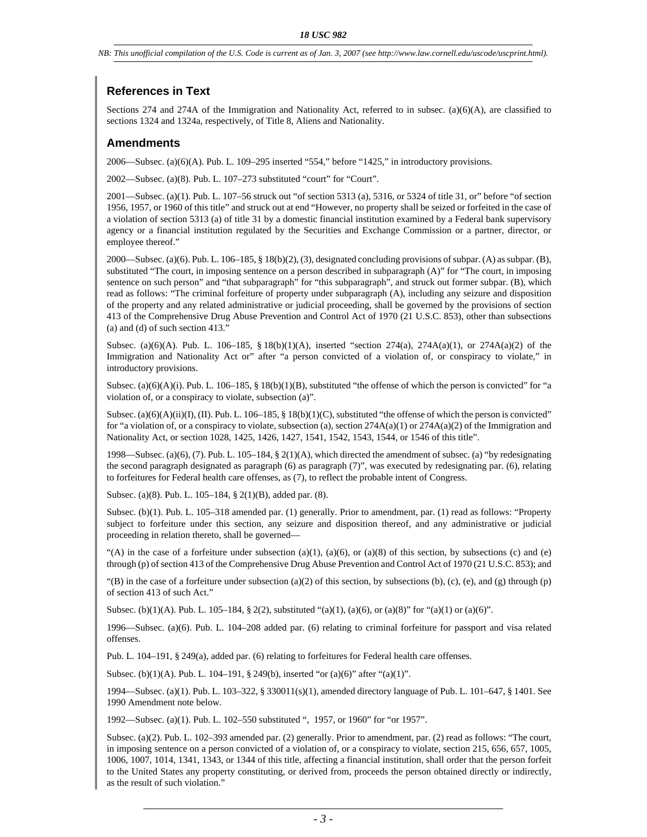*NB: This unofficial compilation of the U.S. Code is current as of Jan. 3, 2007 (see http://www.law.cornell.edu/uscode/uscprint.html).*

# **References in Text**

Sections 274 and 274A of the Immigration and Nationality Act, referred to in subsec. (a)(6)(A), are classified to sections 1324 and 1324a, respectively, of Title 8, Aliens and Nationality.

#### **Amendments**

2006—Subsec. (a)(6)(A). Pub. L. 109–295 inserted "554," before "1425," in introductory provisions.

2002—Subsec. (a)(8). Pub. L. 107–273 substituted "court" for "Court".

2001—Subsec. (a)(1). Pub. L. 107–56 struck out "of section 5313 (a), 5316, or 5324 of title 31, or" before "of section 1956, 1957, or 1960 of this title" and struck out at end "However, no property shall be seized or forfeited in the case of a violation of section 5313 (a) of title 31 by a domestic financial institution examined by a Federal bank supervisory agency or a financial institution regulated by the Securities and Exchange Commission or a partner, director, or employee thereof."

2000—Subsec. (a)(6). Pub. L. 106–185, § 18(b)(2), (3), designated concluding provisions of subpar. (A) as subpar. (B), substituted "The court, in imposing sentence on a person described in subparagraph (A)" for "The court, in imposing sentence on such person" and "that subparagraph" for "this subparagraph", and struck out former subpar. (B), which read as follows: "The criminal forfeiture of property under subparagraph (A), including any seizure and disposition of the property and any related administrative or judicial proceeding, shall be governed by the provisions of section 413 of the Comprehensive Drug Abuse Prevention and Control Act of 1970 (21 U.S.C. 853), other than subsections (a) and (d) of such section 413."

Subsec. (a)(6)(A). Pub. L. 106–185, § 18(b)(1)(A), inserted "section 274(a), 274A(a)(1), or 274A(a)(2) of the Immigration and Nationality Act or" after "a person convicted of a violation of, or conspiracy to violate," in introductory provisions.

Subsec. (a)(6)(A)(i). Pub. L. 106–185, § 18(b)(1)(B), substituted "the offense of which the person is convicted" for "a violation of, or a conspiracy to violate, subsection (a)".

Subsec. (a)(6)(A)(ii)(I), (II). Pub. L. 106–185, § 18(b)(1)(C), substituted "the offense of which the person is convicted" for "a violation of, or a conspiracy to violate, subsection (a), section  $274A(a)(1)$  or  $274A(a)(2)$  of the Immigration and Nationality Act, or section 1028, 1425, 1426, 1427, 1541, 1542, 1543, 1544, or 1546 of this title".

1998—Subsec. (a)(6), (7). Pub. L. 105–184, § 2(1)(A), which directed the amendment of subsec. (a) "by redesignating the second paragraph designated as paragraph (6) as paragraph (7)", was executed by redesignating par. (6), relating to forfeitures for Federal health care offenses, as (7), to reflect the probable intent of Congress.

Subsec. (a)(8). Pub. L. 105–184, § 2(1)(B), added par. (8).

Subsec. (b)(1). Pub. L. 105–318 amended par. (1) generally. Prior to amendment, par. (1) read as follows: "Property subject to forfeiture under this section, any seizure and disposition thereof, and any administrative or judicial proceeding in relation thereto, shall be governed—

"(A) in the case of a forfeiture under subsection  $(a)(1)$ ,  $(a)(6)$ , or  $(a)(8)$  of this section, by subsections (c) and (e) through (p) of section 413 of the Comprehensive Drug Abuse Prevention and Control Act of 1970 (21 U.S.C. 853); and

"(B) in the case of a forfeiture under subsection (a)(2) of this section, by subsections (b), (c), (e), and (g) through (p) of section 413 of such Act."

Subsec. (b)(1)(A). Pub. L. 105–184, § 2(2), substituted "(a)(1), (a)(6), or (a)(8)" for "(a)(1) or (a)(6)".

1996—Subsec. (a)(6). Pub. L. 104–208 added par. (6) relating to criminal forfeiture for passport and visa related offenses.

Pub. L. 104–191, § 249(a), added par. (6) relating to forfeitures for Federal health care offenses.

Subsec. (b)(1)(A). Pub. L. 104–191, § 249(b), inserted "or (a)(6)" after "(a)(1)".

1994—Subsec. (a)(1). Pub. L. 103–322, § 330011(s)(1), amended directory language of Pub. L. 101–647, § 1401. See 1990 Amendment note below.

1992—Subsec. (a)(1). Pub. L. 102–550 substituted ", 1957, or 1960" for "or 1957".

Subsec. (a)(2). Pub. L. 102–393 amended par. (2) generally. Prior to amendment, par. (2) read as follows: "The court, in imposing sentence on a person convicted of a violation of, or a conspiracy to violate, section 215, 656, 657, 1005, 1006, 1007, 1014, 1341, 1343, or 1344 of this title, affecting a financial institution, shall order that the person forfeit to the United States any property constituting, or derived from, proceeds the person obtained directly or indirectly, as the result of such violation."